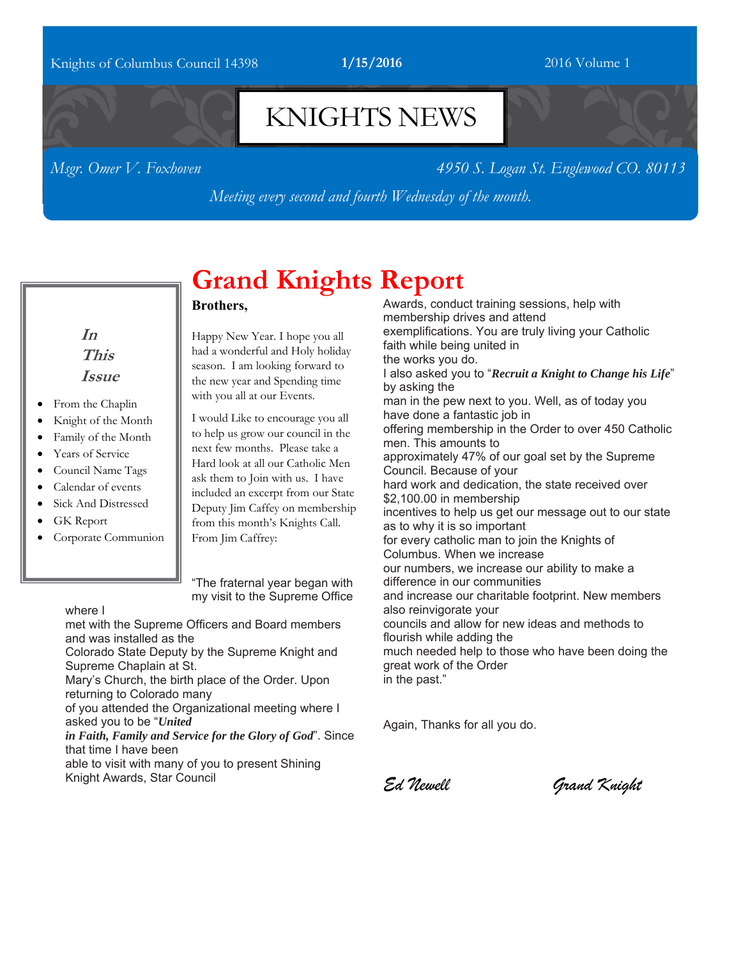### Knights of Columbus Council 14398 **1/15/2016** 2016 Volume 1

## KNIGHTS NEWS

*Msgr. Omer V. Foxhoven 4950 S. Logan St. Englewood CO. 80113* 

*Meeting every second and fourth Wednesday of the month.*

**In This Issue** 

- From the Chaplin
- Knight of the Month
- Family of the Month
- Years of Service
- Council Name Tags
- Calendar of events
- Sick And Distressed
- GK Report
- Corporate Communion

# **Grand Knights Report**

#### **Brothers,**

Happy New Year. I hope you all had a wonderful and Holy holiday season. I am looking forward to the new year and Spending time with you all at our Events.

I would Like to encourage you all to help us grow our council in the next few months. Please take a Hard look at all our Catholic Men ask them to Join with us. I have included an excerpt from our State Deputy Jim Caffey on membership from this month's Knights Call. From Jim Caffrey:

"The fraternal year began with my visit to the Supreme Office

#### where I

met with the Supreme Officers and Board members and was installed as the

Colorado State Deputy by the Supreme Knight and Supreme Chaplain at St.

Mary's Church, the birth place of the Order. Upon returning to Colorado many

of you attended the Organizational meeting where I asked you to be "*United* 

*in Faith, Family and Service for the Glory of God*". Since that time I have been

able to visit with many of you to present Shining Knight Awards, Star Council

Awards, conduct training sessions, help with membership drives and attend exemplifications. You are truly living your Catholic faith while being united in the works you do. I also asked you to "*Recruit a Knight to Change his Life*" by asking the man in the pew next to you. Well, as of today you have done a fantastic job in offering membership in the Order to over 450 Catholic men. This amounts to approximately 47% of our goal set by the Supreme Council. Because of your hard work and dedication, the state received over \$2,100.00 in membership incentives to help us get our message out to our state as to why it is so important for every catholic man to join the Knights of Columbus. When we increase our numbers, we increase our ability to make a difference in our communities and increase our charitable footprint. New members also reinvigorate your councils and allow for new ideas and methods to flourish while adding the much needed help to those who have been doing the great work of the Order in the past."

Again, Thanks for all you do.

*Ed Newell Grand Knight*